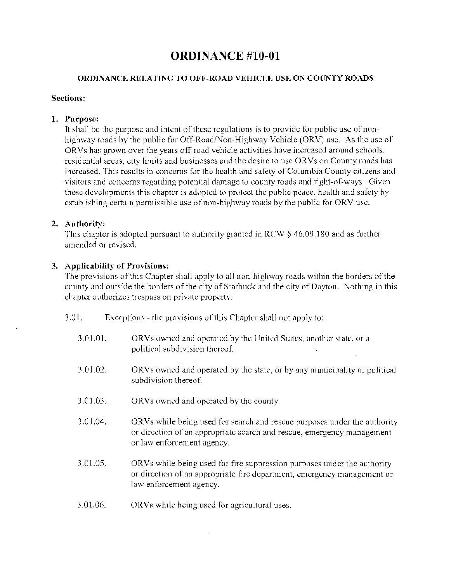# ORDINANCE #10-01

## ORDINANCE RELATING TO OFF-ROAD VEHICLE USE ON COUNTY ROADS

## Sections:

## 1. Purpose:

It shall be the purpose and intent of these regulations is to provide for public use of nonhighway roads by the public for Off-Road/Non-Highway Vehicle (ORV) use. As the use of ORVs has grown over the years off-road vehicle activities have increased around schools, residential areas, city limits and businesses and the desire to use ORVs on County roads has increased. This results in concerns for the health and safety of Columbia County citizens and visitors and concerns regarding potential damage to county roads and right-of-ways. Given these developments this chapter is adopted to protect the public peace, health and safety by establishing certain permissible use of non-highway roads by the public for ORV use.

# 2. Authority:

This chapter is adopted pursuant to authority granted in RCW  $\S$  46.09.180 and as further amended or revised.

# 3. Applicability of Provisions:

The provisions of this Chapter shall apply to all non-highway roads within the borders of the county and outside the borders of the city of Starbuck and the city of Dayton. Nothing in this chapter authorizes trespass on private property.

- 3.01. Exceptions the provisions of this Chapter shall not apply to:
	- 3.01.01. ORVs owned and operated by the United States, another state, or a political subdivision thereof.
	- 3.01.02. ORVs owned and operated by the state, or by any municipality or political subdivision thereof.
	- 3.01.03. ORVs owned and operated by the county.
	- 3.01.04. ORVs while being used for search and rescue purposes under the authority or direction of an appropriate search and rescue, emergency management or law enforcement agency.
	- 3.01.05. ORVs while being used for fire suppression purposes under the authority or direction of an appropriate fire department, emergency management or law enforcement agency.
	- 3.01.06. ORVs while being used for agricultural uses.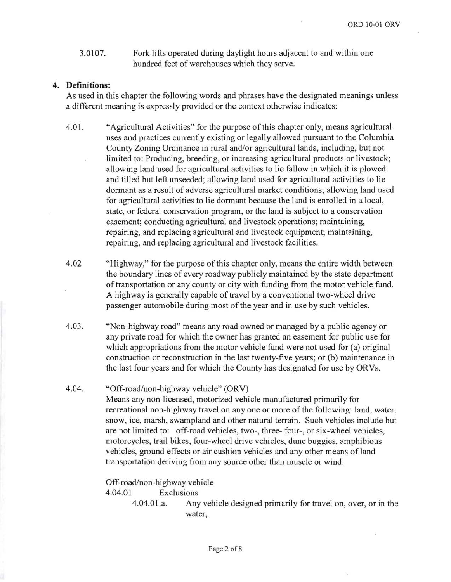3.0107. Fork lifts operated during daylight hours adjacent to and within one hundred feet of warehouses which they serve.

#### **4. Definitions:**

As used in this chapter the following words and phrases have the designated meanings unless a different meaning is expressly provided or the context otherwise indicates:

- 4.01. "Agricultural Activities" for the purpose of this chapter only, means agricultural uses and practices currently existing or legally allowed pursuant to the Columbia County Zoning Ordinance in rural and/or agricultural lands, including, but not limited to: Producing, breeding, or increasing agricultural products or livestock; allowing land used for agricultural activities to lie fallow in which it is plowed and tilled but left unseeded; allowing land used for agricultural activities to lie dormant as a result of adverse agricultural market conditions; allowing land used for agricultural activities to lie dormant because the land is enrolled in a local, state, or federal conservation program, or the land is subject to a conservation easement; conducting agricultural and livestock operations; maintaining, repairing, and replacing agricultural and livestock equipment; maintaining, repairing, and replacing agricultural and livestock facilities.
- 4.02 "Highway," for the purpose of this chapter only, means the entire width between the boundary lines of every roadway publicly maintained by the state department of transportation or any county or city with funding from the motor vehicle fund. A highway is generally capable of travel by a conventional two-wheel drive passenger automobile during most of the year and in use by such vehicles.
- 4.03. "Non-highway road" means any road owned or managed by a public agency or any private road for which the owner has granted an easement for public use for which appropriations from the motor vehicle fund were not used for (a) original construction or reconstruction in the last twenty-five years; or (b) maintenance in the last four years and for which the County has designated for use by ORVs.

#### 4.04. "Off-road/non-highway vehicle" (ORV)

Means any non-licensed, motorized vehicle manufactured primarily for recreational non-highway travel on anyone or more of the following: land, water, snow, ice, marsh, swampland and other natural terrain. Such vehicles include but are not limited to: off-road vehicles, two-, three- four-, or six-wheel vehicles, motorcycles, trail bikes, four-wheel drive vehicles, dune buggies, amphibious vehicles, ground effects or air cushion vehicles and any other means of land transportation deriving from any source other than muscle or wind.

Off-road/non-highway vehicle

4.04.01 Exclusions

4.04.01.a. Any vehicle designed primarily for travel on, over, or in the water,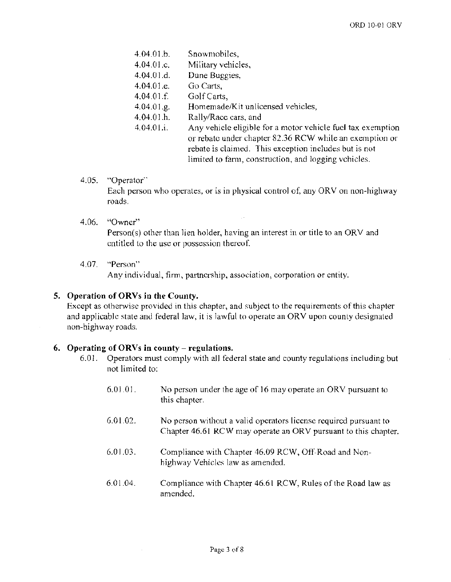- 4.04.01.b. Snowmobiles,
- 4.04.0l.c. Military vehicles,
- 4.04.01.d. Dune Buggies,
- 4.04.01.e. Go Carts.
- 4.04.01.f. Golf Carts,
- 4.04.0l.g. Homemade/Kit unlicensed vehicles,
- 4.04.01.h. Rally/Race cars,
- 4.04.01.i. Any vehicle eligible for a motor vehicle fuel tax exemption or rebate under chapter 82.36 RCW while an exemption or rebate is claimed. This exception includes but is not limited to farm, construction, and logging vehicles.
- 4.05. "Operator"

Each person who operates, or is in physical control of, any ORV on non-highway roads.

## 4.06. "Owner"

Person(s) other than lien holder, having an interest in or title to an ORV and entitled to the use or possession thereof.

4.07. "Person"

Any individual, firm, partnership, association, corporation or entity.

## 5. Operation of ORVs in the County.

Except as otherwise provided in this chapter, and subject to the requirements of this chapter and applicable state and federal law, it is lawful to operate an ORV upon county designated non-highway roads.

## 6. Operating of ORVs in county – regulations.

- 6.01. Operators must comply with all federal state and county regulations including but not limited to:
	- 6.01.01. No person under the age of 16 may operate an ORV pursuant to this chapter.
	- 6.01.02. No person without a valid operators license required pursuant to Chapter 46.61 RCW may operate an ORV pursuant to this chapter.
	- 6.01.03. Compliance with Chapter 46.09 RCW, Off-Road and Nonhighway Vehicles law as amended.
	- 6.01.04. Compliance with Chapter 46.61 RCW, Rules of the Road law as amended.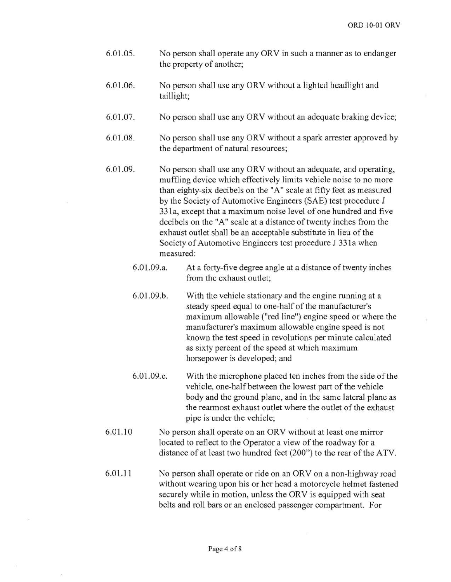- 6.01.05. No person shall operate any ORV in such a manner as to endanger the property of another;
- 6.01.06. No person shall use any ORV without a lighted headlight and taillight;
- 6.01.07. No person shall use any ORV without an adequate braking device;
- 6.01.08. No person shall use any ORV without a spark arrester approved by the department of natural resources;
- 6.01.09. No person shall use any ORV without an adequate, and operating, muffling device which effectively limits vehicle noise to no more than eighty-six decibels on the "A" scale at fifty feet as measured by the Society of Automotive Engineers (SAE) test procedure J 331 a, except that a maximum noise level of one hundred and five decibels on the "A" scale at a distance of twenty inches from the exhaust outlet shall be an acceptable substitute in lieu of the Society of Automotive Engineers test procedure J 331a when measured:
	- 6.01.09.a. At a forty-five degree angle at a distance of twenty inches from the exhaust outlet;
	- 6.01.09.b. With the vehicle stationary and the engine running at a steady speed equal to one-half of the manufacturer's maximum allowable ("red line") engine speed or where the manufacturer's maximum allowable engine speed is not known the test speed in revolutions per minute calculated as sixty percent of the speed at which maximum horsepower is developed; and
	- 6.01.09.c. With the microphone placed ten inches from the side of the vehicle, one-half between the lowest part of the vehicle body and the ground plane, and in the same lateral plane as the rearmost exhaust outlet where the outlet of the exhaust pipe is under the vehicle;
- 6.01.10 No person shall operate on an ORV without at least one mirror located to reflect to the Operator a view of the roadway for a distance of at least two hundred feet (200") to the rear of the ATV.
- 6.01.11 No person shall operate or ride on an ORV on a non-highway road without wearing upon his or her head a motorcycle helmet fastened securely while in motion, unless the ORV is equipped with seat belts and roll bars or an enclosed passenger compartment. For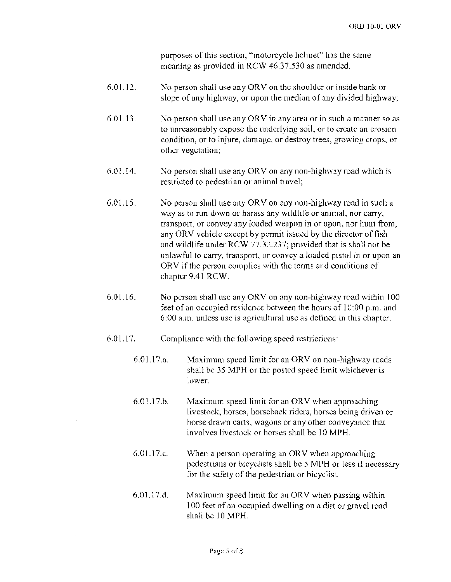purposes of this section, "motorcycle helmet" has the same meaning as provided in RCW 46.37.530 as amended.

- 6.01.12. No person shall use any ORV on the shoulder or inside bank or slope of any highway, or upon the median of any divided highway;
- 6.01.13. No person shall use any ORV in any area or in such a manner so as to unreasonably expose the underlying soil, or to create an erosion condition, or to injure, damage, or destroy trees, growing crops, or other vegetation;
- $6.01.14.$  No person shall use any ORV on any non-highway road which is restricted to pedestrian or animal travel;
- 6.01.15. No person shall use any ORV on any non-highway road in such a way as to run down or harass any wildlife or animal, nor carry, transport, or convey any loaded weapon in or upon, nor hunt from, any ORV vehicle except by permit issued by the director of fish and wildlife under RCW 77.32.237; provided that is shall not be unlawful to carry, transport, or convey a loaded pistol in or upon an  $ORV$  if the person complies with the terms and conditions of chapter 9.41 RCW.
- 6.01.16. No person shall use any ORV on any non-highway road within  $100$ feet of an occupied residence between the hours of 10:00 p.m. and 6:00 a.m. unless use is agricultural use as defined in
- $6.01.17.$  Compliance with the following speed restrictions:
	- $6.01.17$ .a. Maximum speed limit for an ORV on non-highway roads shall be 35 MPH or the posted speed limit whichever is lower.
	- 6.01.17.b. Maximum speed limit for an ORV when approaching livestock, horses, horseback riders, horses being driven or horse drawn carts, wagons or any other conveyance that involves livestock or horses shall be 10 MPH.
	- 6.0L17.c. When a person operating an ORV when approaching pedestrians or bicyclists shall be 5 MPH or less if necessary for the safety of the pedestrian or bicyclist.
	- $6.01.17.d.$ Maximum speed limit for an ORV when passing within 100 feet of an occupied dwelling on a dirt or gravel road shall be 10 MPH.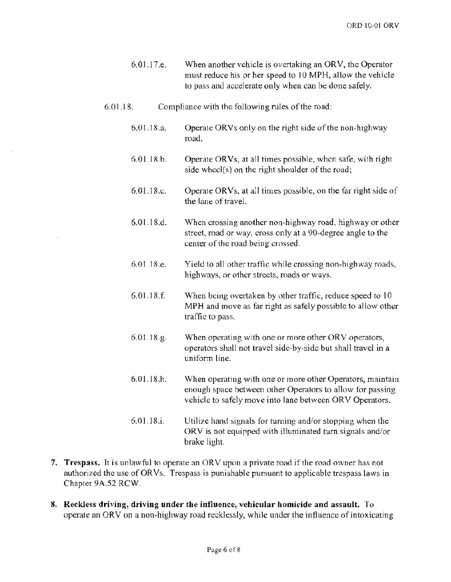- $6.01.17$ .e. When another vehicle is overtaking an ORV, the Operator must reduce his or her speed to 10 MPH, allow the vehicle to pass and accelerate only when can be done safely.
- $6.01.18$ . Compliance with the following rules of the road:
	- 6.01.1S.a. Operate ORVs only on the right side of the non-highway road.
	- 6.01.1S.b. Operate ORVs, at all times possible, when safe, with right side wheel(s) on the right shoulder of the road;
	- 6.01.1S.c. Operate ORVs, at all times possible, on the far right side of the lane of travel.
	- 6.01.1S.d. When crossing another non-highway road, highway or other road or cross only at a 90-degree angle to the center of the road being crossed.
	- $6.01.18.e.$ Yield to all other traffic while crossing non-highway roads, highways, or other streets, roads or ways.
	- 6.01.1S.£ When being overtaken by other traffic, reduce speed to 10 MPH and move as far right as safely possible to allow other traffic to
	- 6.01.1S.g. When operating with one or more other ORV operators, operators shall not travel side-by-side but shall travel in a uniform line.
	- 6.01.IS.h. When operating with one or more other Operators, maintain enough space between other Operators to allow for passing vehicle to safely move into lane between ORV Operators.
	- 6.01.1S,i. Utilize hand signals for turning and/or stopping when the  $ORV$  is not equipped with illuminated turn signals and/or brake light.
- 7. Trespass. It is unlawful to operate an ORV upon a private road if the road owner has not authorized the use of ORVs. Trespass is punishable pursuant to applicable trespass laws in Chapter 9A.52 RCW.
- 8. Reckless driving, driving under the influence, vehicular homicide and assault. To operate an ORV on a non-highway road recklessly, while under the influence of intoxicating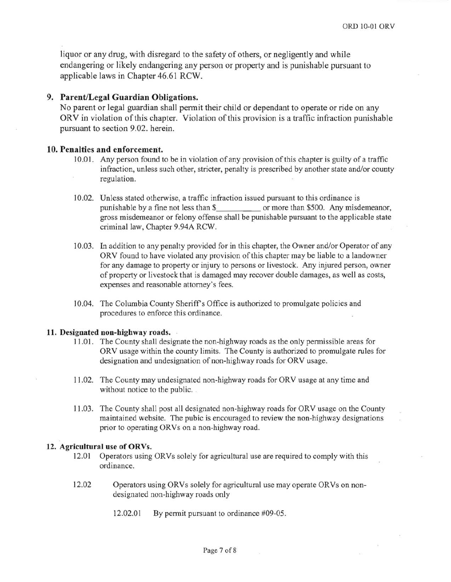liquor or any drug, with disregard to the safety of others, or negligently and while endangering or likely endangering any person or property and is punishable pursuant to applicable laws in Chapter 46.61 RCW.

#### **9. ParentiLegal Guardian Obligations.**

No parent or legal guardian shall permit their child or dependant to operate or ride on any ORV in violation of this chapter. Violation of this provision is a traffic infraction punishable pursuant to section 9.02. herein.

#### **10. Penalties and enforcement.**

- 10.0 I. Any person found to be in violation of any provision of this chapter is guilty of a traffic infraction, unless such other, stricter, penalty is prescribed by another state and/or county regulation.
- 10.02. Unless stated otherwise, a traffic infraction issued pursuant to this ordinance is punishable by a fine not less than \$ or more than \$500. Any misdemeanor, gross misdemeanor or felony offense shall be punishable pursuant to the applicable state criminal law, Chapter 9.94A RCW.
- 10.03. In addition to any penalty provided for in this chapter, the Owner and/or Operator of any ORV found to have violated any provision of this chapter may be liable to a landowner for any damage to property or injury to persons or livestock. Any injured person, owner of property or livestock that is damaged may recover double damages, as well as costs, expenses and reasonable attorney's fees.
- 10.04. The Columbia County Sheriff's Office is authorized to promulgate policies and procedures to enforce this ordinance.

#### **11. Designated non-highway roads.**

- 11.0 I. The County shall designate the non-highway roads as the only permissible areas for ORV usage within the county limits. The County is authorized to promulgate rules for designation and undesignation of non-highway roads for ORV usage.
- 11.02. The County may undesignated non-highway roads for ORV usage at any time and without notice to the public.
- 11.03. The County shall post all designated non-highway roads for ORV usage on the County maintained website. The pubic is encouraged to review the non-highway designations prior to operating ORVs on a non-highway road.

#### **12. Agricultural use of ORVs.**

- 12.01 Operators using ORVs solely for agricultural use are required to comply with this ordinance.
- 12.02 Operators using ORVs solely for agricultural use may operate ORVs on nondesignated non-highway roads only
	- 12.02.01 By permit pursuant to ordinance #09-05.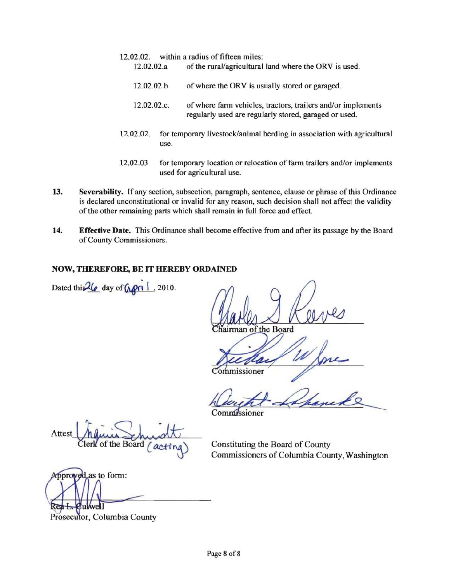- 12.02.02. within a radius of fifteen miles: 12.02.02.a of the rural/agricultural land where the ORV is used.
	- 12.02.02.b of where the ORV is usually stored or garaged.
	- 12.02.02.c. of where fann vehicles, tractors, trailers and/or implements regularly used are regularly stored, garaged or used.
- 12.02.02. for temporary livestock/animal herding in association with agricultura1 use.
- 12.02.03 for temporary location or relocation of farm trailers and/or implements used for agricultural use.
- 13. Severability. If any section, subsection, paragraph, sentence, clause or phrase of this Ordinance is declared unconstitutional or invalid for any reason, such decision shall not affect the validity of the other remaining parts which shall remain in full force and effect.
- 14. Effective Date. This Ordinance shall become effective from and after its passage by the Board of County Commissioners.

## NOW, THEREFORE, BE IT HEREBY ORDAINED

Dated this  $2\ell$  day of  $\sqrt{\rho \ln 1}$ , 2010.

airman of the Board

ommissioner

dissioner

Attest he minis minister

of the Board  $\int$   $\alpha$   $\downarrow$   $\uparrow$   $\alpha$   $\downarrow$   $\downarrow$   $\downarrow$   $\downarrow$   $\downarrow$   $\downarrow$   $\downarrow$   $\downarrow$   $\downarrow$   $\downarrow$   $\downarrow$   $\downarrow$   $\downarrow$   $\downarrow$   $\downarrow$   $\downarrow$   $\downarrow$   $\downarrow$   $\downarrow$   $\downarrow$   $\downarrow$   $\downarrow$   $\downarrow$   $\downarrow$   $\downarrow$   $\downarrow$   $\downarrow$   $\downarrow$   $\downarrow$   $\downarrow$  Commissioners of Columbia County, Washington

Approved as to form:

Prosecutor, Columbia County